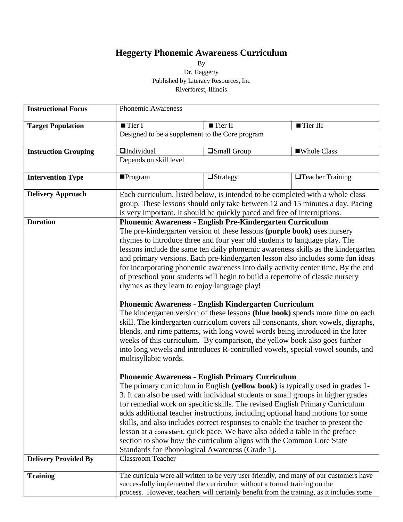## **Heggerty Phonemic Awareness Curriculum**

By Dr. Haggerty Published by Literacy Resources, Inc Riverforest, Illinois

| <b>Instructional Focus</b>  | Phonemic Awareness                                                                                                                                                                                                                                                                                                                                                                                                                                                                                                                                                                                                                                                                                                                                                                                                                                                                                                                                                                                                                                                                                                                                                                                                                                                                                                                                                                                                                                                                                                                                                                                                                                                                                                                                                      |                                                                                                                                                                                                                                                                 |                          |
|-----------------------------|-------------------------------------------------------------------------------------------------------------------------------------------------------------------------------------------------------------------------------------------------------------------------------------------------------------------------------------------------------------------------------------------------------------------------------------------------------------------------------------------------------------------------------------------------------------------------------------------------------------------------------------------------------------------------------------------------------------------------------------------------------------------------------------------------------------------------------------------------------------------------------------------------------------------------------------------------------------------------------------------------------------------------------------------------------------------------------------------------------------------------------------------------------------------------------------------------------------------------------------------------------------------------------------------------------------------------------------------------------------------------------------------------------------------------------------------------------------------------------------------------------------------------------------------------------------------------------------------------------------------------------------------------------------------------------------------------------------------------------------------------------------------------|-----------------------------------------------------------------------------------------------------------------------------------------------------------------------------------------------------------------------------------------------------------------|--------------------------|
| <b>Target Population</b>    | $\blacksquare$ Tier I                                                                                                                                                                                                                                                                                                                                                                                                                                                                                                                                                                                                                                                                                                                                                                                                                                                                                                                                                                                                                                                                                                                                                                                                                                                                                                                                                                                                                                                                                                                                                                                                                                                                                                                                                   | ■ Tier II                                                                                                                                                                                                                                                       | $\blacksquare$ Tier III  |
|                             | Designed to be a supplement to the Core program                                                                                                                                                                                                                                                                                                                                                                                                                                                                                                                                                                                                                                                                                                                                                                                                                                                                                                                                                                                                                                                                                                                                                                                                                                                                                                                                                                                                                                                                                                                                                                                                                                                                                                                         |                                                                                                                                                                                                                                                                 |                          |
| <b>Instruction Grouping</b> | <b>Individual</b>                                                                                                                                                                                                                                                                                                                                                                                                                                                                                                                                                                                                                                                                                                                                                                                                                                                                                                                                                                                                                                                                                                                                                                                                                                                                                                                                                                                                                                                                                                                                                                                                                                                                                                                                                       | □Small Group                                                                                                                                                                                                                                                    | ■Whole Class             |
|                             | Depends on skill level                                                                                                                                                                                                                                                                                                                                                                                                                                                                                                                                                                                                                                                                                                                                                                                                                                                                                                                                                                                                                                                                                                                                                                                                                                                                                                                                                                                                                                                                                                                                                                                                                                                                                                                                                  |                                                                                                                                                                                                                                                                 |                          |
| <b>Intervention Type</b>    | $\blacksquare$ Program                                                                                                                                                                                                                                                                                                                                                                                                                                                                                                                                                                                                                                                                                                                                                                                                                                                                                                                                                                                                                                                                                                                                                                                                                                                                                                                                                                                                                                                                                                                                                                                                                                                                                                                                                  | $\Box$ Strategy                                                                                                                                                                                                                                                 | <b>T</b> eacher Training |
| <b>Delivery Approach</b>    | Each curriculum, listed below, is intended to be completed with a whole class<br>group. These lessons should only take between 12 and 15 minutes a day. Pacing<br>is very important. It should be quickly paced and free of interruptions.                                                                                                                                                                                                                                                                                                                                                                                                                                                                                                                                                                                                                                                                                                                                                                                                                                                                                                                                                                                                                                                                                                                                                                                                                                                                                                                                                                                                                                                                                                                              |                                                                                                                                                                                                                                                                 |                          |
| <b>Duration</b>             | Phonemic Awareness - English Pre-Kindergarten Curriculum<br>The pre-kindergarten version of these lessons (purple book) uses nursery<br>rhymes to introduce three and four year old students to language play. The<br>lessons include the same ten daily phonemic awareness skills as the kindergarten<br>and primary versions. Each pre-kindergarten lesson also includes some fun ideas<br>for incorporating phonemic awareness into daily activity center time. By the end<br>of preschool your students will begin to build a repertoire of classic nursery<br>rhymes as they learn to enjoy language play!<br>Phonemic Awareness - English Kindergarten Curriculum<br>The kindergarten version of these lessons (blue book) spends more time on each<br>skill. The kindergarten curriculum covers all consonants, short vowels, digraphs,<br>blends, and rime patterns, with long vowel words being introduced in the later<br>weeks of this curriculum. By comparison, the yellow book also goes further<br>into long vowels and introduces R-controlled vowels, special vowel sounds, and<br>multisyllabic words.<br><b>Phonemic Awareness - English Primary Curriculum</b><br>The primary curriculum in English (yellow book) is typically used in grades 1-<br>3. It can also be used with individual students or small groups in higher grades<br>for remedial work on specific skills. The revised English Primary Curriculum<br>adds additional teacher instructions, including optional hand motions for some<br>skills, and also includes correct responses to enable the teacher to present the<br>lesson at a consistent, quick pace. We have also added a table in the preface<br>section to show how the curriculum aligns with the Common Core State |                                                                                                                                                                                                                                                                 |                          |
| <b>Delivery Provided By</b> | Standards for Phonological Awareness (Grade 1).<br><b>Classroom Teacher</b>                                                                                                                                                                                                                                                                                                                                                                                                                                                                                                                                                                                                                                                                                                                                                                                                                                                                                                                                                                                                                                                                                                                                                                                                                                                                                                                                                                                                                                                                                                                                                                                                                                                                                             |                                                                                                                                                                                                                                                                 |                          |
| <b>Training</b>             |                                                                                                                                                                                                                                                                                                                                                                                                                                                                                                                                                                                                                                                                                                                                                                                                                                                                                                                                                                                                                                                                                                                                                                                                                                                                                                                                                                                                                                                                                                                                                                                                                                                                                                                                                                         | The curricula were all written to be very user friendly, and many of our customers have<br>successfully implemented the curriculum without a formal training on the<br>process. However, teachers will certainly benefit from the training, as it includes some |                          |